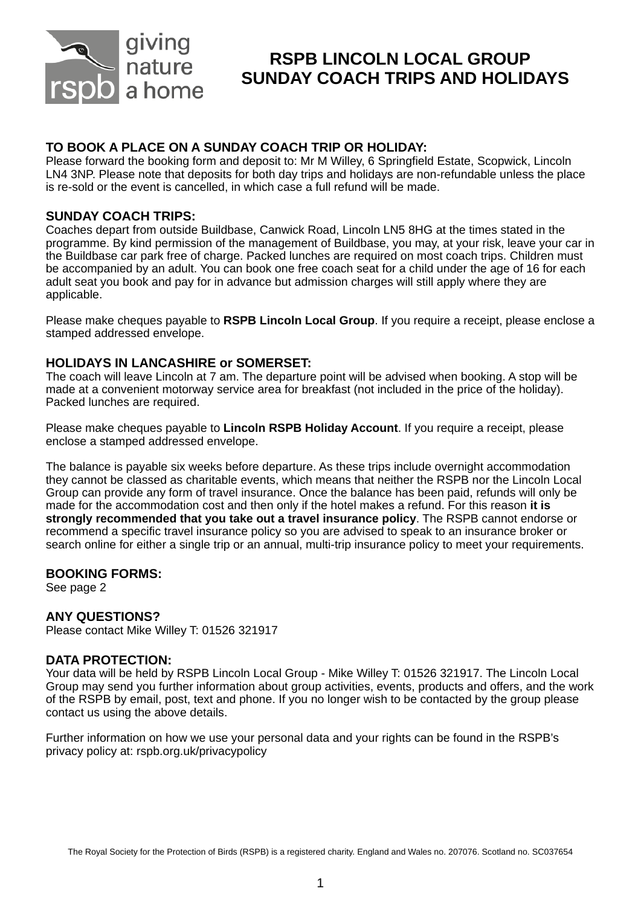

# **RSPB LINCOLN LOCAL GROUP SUNDAY COACH TRIPS AND HOLIDAYS**

### **TO BOOK A PLACE ON A SUNDAY COACH TRIP OR HOLIDAY:**

Please forward the booking form and deposit to: Mr M Willey, 6 Springfield Estate, Scopwick, Lincoln LN4 3NP. Please note that deposits for both day trips and holidays are non-refundable unless the place is re-sold or the event is cancelled, in which case a full refund will be made.

#### **SUNDAY COACH TRIPS:**

Coaches depart from outside Buildbase, Canwick Road, Lincoln LN5 8HG at the times stated in the programme. By kind permission of the management of Buildbase, you may, at your risk, leave your car in the Buildbase car park free of charge. Packed lunches are required on most coach trips. Children must be accompanied by an adult. You can book one free coach seat for a child under the age of 16 for each adult seat you book and pay for in advance but admission charges will still apply where they are applicable.

Please make cheques payable to **RSPB Lincoln Local Group**. If you require a receipt, please enclose a stamped addressed envelope.

#### **HOLIDAYS IN LANCASHIRE or SOMERSET:**

The coach will leave Lincoln at 7 am. The departure point will be advised when booking. A stop will be made at a convenient motorway service area for breakfast (not included in the price of the holiday). Packed lunches are required.

Please make cheques payable to **Lincoln RSPB Holiday Account**. If you require a receipt, please enclose a stamped addressed envelope.

The balance is payable six weeks before departure. As these trips include overnight accommodation they cannot be classed as charitable events, which means that neither the RSPB nor the Lincoln Local Group can provide any form of travel insurance. Once the balance has been paid, refunds will only be made for the accommodation cost and then only if the hotel makes a refund. For this reason **it is strongly recommended that you take out a travel insurance policy**. The RSPB cannot endorse or recommend a specific travel insurance policy so you are advised to speak to an insurance broker or search online for either a single trip or an annual, multi-trip insurance policy to meet your requirements.

#### **BOOKING FORMS:**

See page 2

#### **ANY QUESTIONS?**

Please contact Mike Willey T: 01526 321917

#### **DATA PROTECTION:**

Your data will be held by RSPB Lincoln Local Group - Mike Willey T: 01526 321917. The Lincoln Local Group may send you further information about group activities, events, products and offers, and the work of the RSPB by email, post, text and phone. If you no longer wish to be contacted by the group please contact us using the above details.

Further information on how we use your personal data and your rights can be found in the RSPB's privacy policy at: rspb.org.uk/privacypolicy